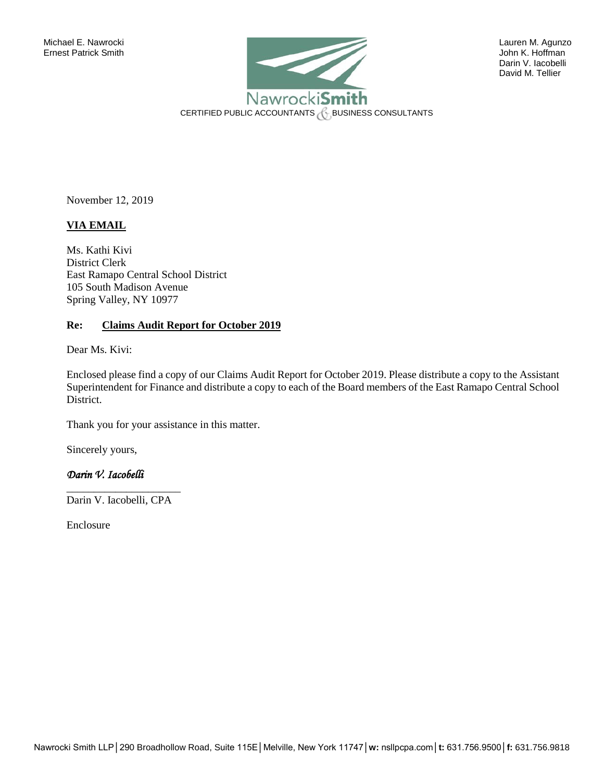

 Darin V. Iacobelli David M. Tellier

November 12, 2019

# **VIA EMAIL**

Ms. Kathi Kivi District Clerk East Ramapo Central School District 105 South Madison Avenue Spring Valley, NY 10977

## **Re: Claims Audit Report for October 2019**

Dear Ms. Kivi:

Enclosed please find a copy of our Claims Audit Report for October 2019. Please distribute a copy to the Assistant Superintendent for Finance and distribute a copy to each of the Board members of the East Ramapo Central School District.

Thank you for your assistance in this matter.

Sincerely yours,

## *Darin V. Iacobelli*

\_\_\_\_\_\_\_\_\_\_\_\_\_\_\_\_\_\_\_\_\_ Darin V. Iacobelli, CPA

Enclosure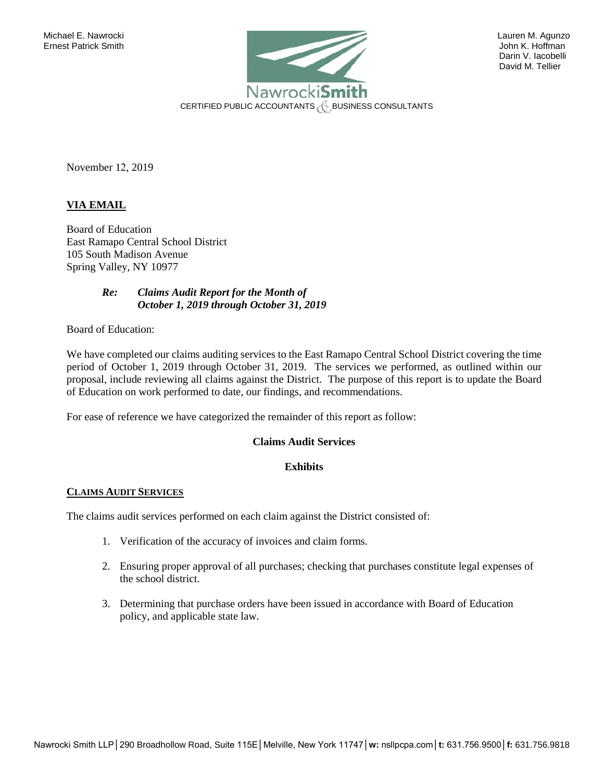

 Darin V. Iacobelli David M. Tellier

November 12, 2019

## **VIA EMAIL**

Board of Education East Ramapo Central School District 105 South Madison Avenue Spring Valley, NY 10977

## *Re: Claims Audit Report for the Month of October 1, 2019 through October 31, 2019*

Board of Education:

We have completed our claims auditing services to the East Ramapo Central School District covering the time period of October 1, 2019 through October 31, 2019. The services we performed, as outlined within our proposal, include reviewing all claims against the District. The purpose of this report is to update the Board of Education on work performed to date, our findings, and recommendations.

For ease of reference we have categorized the remainder of this report as follow:

## **Claims Audit Services**

#### **Exhibits**

#### **CLAIMS AUDIT SERVICES**

The claims audit services performed on each claim against the District consisted of:

- 1. Verification of the accuracy of invoices and claim forms.
- 2. Ensuring proper approval of all purchases; checking that purchases constitute legal expenses of the school district.
- 3. Determining that purchase orders have been issued in accordance with Board of Education policy, and applicable state law.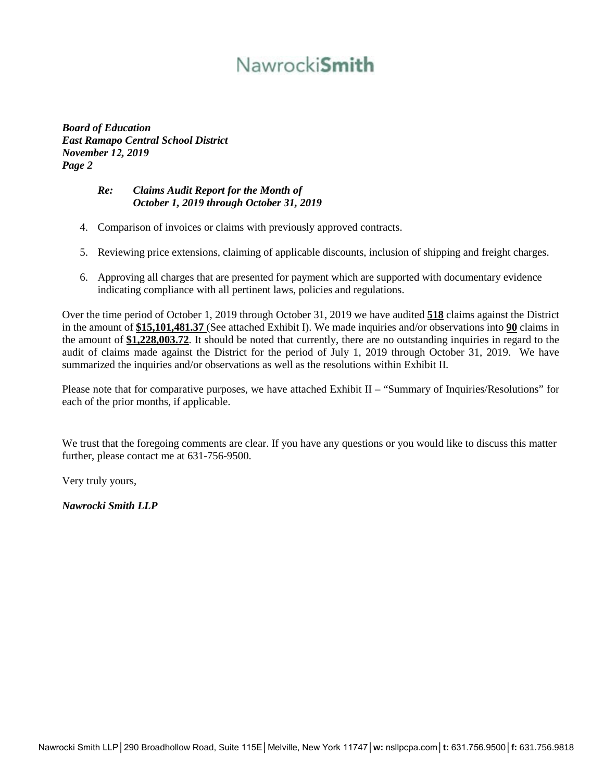# Nawrocki**Smith**

*Board of Education East Ramapo Central School District November 12, 2019 Page 2* 

## *Re: Claims Audit Report for the Month of October 1, 2019 through October 31, 2019*

- 4. Comparison of invoices or claims with previously approved contracts.
- 5. Reviewing price extensions, claiming of applicable discounts, inclusion of shipping and freight charges.
- 6. Approving all charges that are presented for payment which are supported with documentary evidence indicating compliance with all pertinent laws, policies and regulations.

Over the time period of October 1, 2019 through October 31, 2019 we have audited **518** claims against the District in the amount of **\$15,101,481.37** (See attached Exhibit I). We made inquiries and/or observations into **90** claims in the amount of **\$1,228,003.72**. It should be noted that currently, there are no outstanding inquiries in regard to the audit of claims made against the District for the period of July 1, 2019 through October 31, 2019. We have summarized the inquiries and/or observations as well as the resolutions within Exhibit II.

Please note that for comparative purposes, we have attached Exhibit II – "Summary of Inquiries/Resolutions" for each of the prior months, if applicable.

We trust that the foregoing comments are clear. If you have any questions or you would like to discuss this matter further, please contact me at 631-756-9500.

Very truly yours,

*Nawrocki Smith LLP*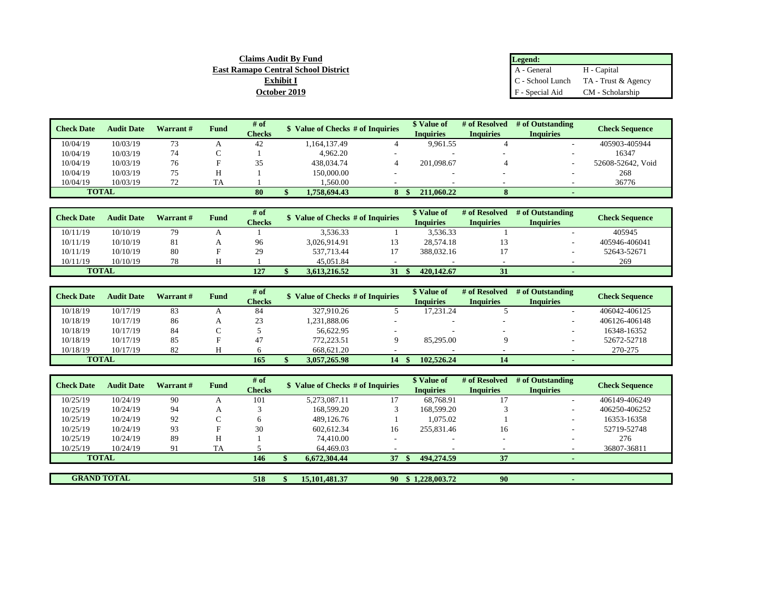| <b>Claims Audit By Fund</b>                | Legend:         |                                        |
|--------------------------------------------|-----------------|----------------------------------------|
| <b>East Ramapo Central School District</b> | A - General     | H - Capital                            |
| <b>Exhibit I</b>                           |                 | $C -$ School Lunch TA - Trust & Agency |
| October 2019                               | F - Special Aid | CM - Scholarship                       |

| <b>Check Date</b> | <b>Audit Date</b> | Warrant# | Fund      | # of          | Value of Checks # of Inquiries | \$ Value of      | # of Resolved    | # of Outstanding | <b>Check Sequence</b> |
|-------------------|-------------------|----------|-----------|---------------|--------------------------------|------------------|------------------|------------------|-----------------------|
|                   |                   |          |           | <b>Checks</b> |                                | <b>Inquiries</b> | <b>Inquiries</b> | <b>Inquiries</b> |                       |
| 10/04/19          | 10/03/19          | 73       | A         | 42            | 1,164,137.49                   | 9.961.55         |                  |                  | 405903-405944         |
| 10/04/19          | 10/03/19          | 74       | ι.        |               | 4.962.20                       |                  |                  |                  | 16347                 |
| 10/04/19          | 10/03/19          | 76       |           | 35            | 438,034.74                     | 201.098.67       |                  |                  | 52608-52642. Void     |
| 10/04/19          | 10/03/19          | 75       | Н         |               | 150,000.00                     |                  |                  |                  | 268                   |
| 10/04/19          | 10/03/19          | 77       | <b>TA</b> |               | .560.00                        |                  |                  |                  | 36776                 |
| <b>TOTAL</b>      |                   |          |           | 80            | 1.758.694.43                   | 211,060.22       |                  |                  |                       |

| <b>Check Date</b> | <b>Audit Date</b> | Warrant# | Fund | $#$ of        | Value of Checks # of Inquiries |    | * Value of       | # of Resolved    | # of Outstanding | <b>Check Sequence</b> |
|-------------------|-------------------|----------|------|---------------|--------------------------------|----|------------------|------------------|------------------|-----------------------|
|                   |                   |          |      | <b>Checks</b> |                                |    | <b>Inquiries</b> | <b>Inquiries</b> | <b>Inquiries</b> |                       |
| 10/11/19          | 10/10/19          | 79       |      |               | 3.536.33                       |    | 3.536.33         |                  |                  | 405945                |
| 10/11/19          | 10/10/19          | 81       |      | 96            | 3.026.914.91                   |    | 28.574.18        |                  |                  | 405946-406041         |
| 10/11/19          | 10/10/19          | 80       |      | 29            | 537.713.44                     |    | 388,032.16       |                  |                  | 52643-52671           |
| 10/11/19          | 10/10/19          | 78       |      |               | 45.051.84                      |    |                  |                  |                  | 269                   |
| <b>TOTAL</b>      |                   |          |      | 127           | 3.613.216.52                   | 31 | 420,142.67       | 31               |                  |                       |

| <b>Check Date</b> | <b>Audit Date</b> | Warrant# | Fund | # of   | Value of Checks # of Inquiries |                          | <b>\$ Value of</b> | # of Resolved | # of Outstanding | <b>Check Sequence</b> |
|-------------------|-------------------|----------|------|--------|--------------------------------|--------------------------|--------------------|---------------|------------------|-----------------------|
|                   |                   |          |      | Checks |                                |                          | <b>Inquiries</b>   | Inquiries     | <b>Inquiries</b> |                       |
| 10/18/19          | 10/17/19          | 83       |      | 84     | 327,910.26                     |                          | 17.231.24          |               |                  | 406042-406125         |
| 10/18/19          | 10/17/19          | 86       |      | 23     | 1,231,888.06                   |                          |                    |               |                  | 406126-406148         |
| 10/18/19          | 10/17/19          | 84       |      |        | 56,622.95                      | $\overline{\phantom{a}}$ |                    |               |                  | 16348-16352           |
| 10/18/19          | 10/17/19          | 85       |      | 47     | 772.223.51                     |                          | 85,295.00          |               |                  | 52672-52718           |
| 10/18/19          | 10/17/19          | 82       |      |        | 668,621.20                     |                          |                    |               |                  | 270-275               |
| <b>TOTAL</b>      |                   |          |      | 165    | 3,057,265,98                   | 14                       | 102,526.24         | 14            |                  |                       |

| <b>Check Date</b>  | <b>Audit Date</b> | Warrant # | <b>Fund</b> | # of<br><b>Checks</b> | Value of Checks # of Inquiries |    | \$ Value of<br><b>Inquiries</b> | # of Resolved<br><b>Inquiries</b> | # of Outstanding<br><b>Inquiries</b> | <b>Check Sequence</b> |
|--------------------|-------------------|-----------|-------------|-----------------------|--------------------------------|----|---------------------------------|-----------------------------------|--------------------------------------|-----------------------|
| 10/25/19           | 10/24/19          | -90       |             | 101                   | 5.273.087.11                   |    | 68.768.91                       |                                   |                                      | 406149-406249         |
| 10/25/19           | 10/24/19          | 94        | А           |                       | 168,599.20                     |    | 168,599.20                      |                                   |                                      | 406250-406252         |
| 10/25/19           | 10/24/19          | 92        | $\sqrt{ }$  |                       | 489,126.76                     |    | 1.075.02                        |                                   |                                      | 16353-16358           |
| 10/25/19           | 10/24/19          | 93        |             | 30                    | 602,612.34                     | 16 | 255,831.46                      | 16                                |                                      | 52719-52748           |
| 10/25/19           | 10/24/19          | 89        | Н           |                       | 74,410.00                      |    | -                               | $\overline{\phantom{a}}$          |                                      | 276                   |
| 10/25/19           | 10/24/19          | 91        | TA          |                       | 64,469.03                      |    |                                 |                                   |                                      | 36807-36811           |
|                    | <b>TOTAL</b>      |           |             | 146                   | 6,672,304.44                   | 37 | 494.274.59                      | 37                                |                                      |                       |
|                    |                   |           |             |                       |                                |    |                                 |                                   |                                      |                       |
| <b>GRAND TOTAL</b> |                   |           |             | 518                   | 15,101,481.37                  | 90 | \$1,228,003.72                  | 90                                |                                      |                       |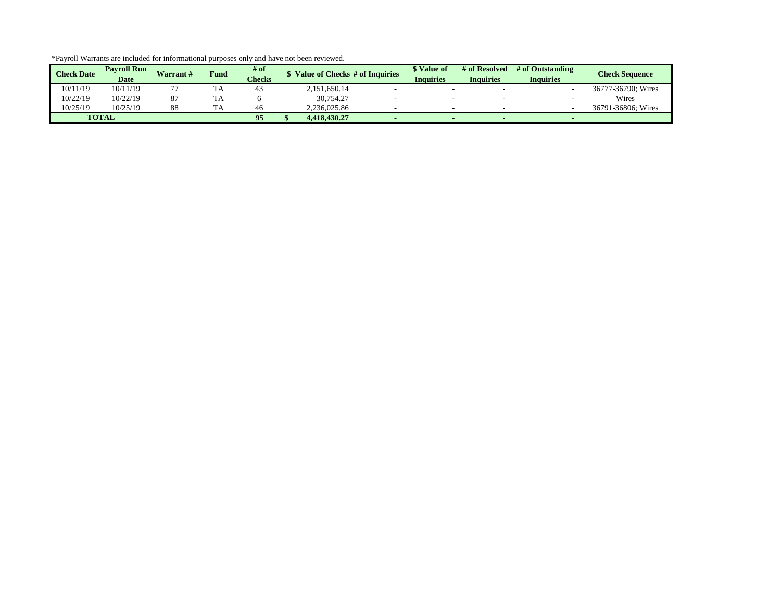| <b>Check Date</b> | <b>Pavroll Run</b><br><b>Date</b> | Warrant# | <b>Fund</b> | # of<br><b>Checks</b> | Value of Checks # of Inquiries | \$ Value of<br>Inquiries | # of Resolved<br><b>Inquiries</b> | # of Outstanding<br><b>Inquiries</b> | <b>Check Sequence</b> |
|-------------------|-----------------------------------|----------|-------------|-----------------------|--------------------------------|--------------------------|-----------------------------------|--------------------------------------|-----------------------|
| 10/11/19          | 10/11/19                          |          | TA          | 43                    | 2,151,650.14                   |                          |                                   |                                      | 36777-36790: Wires    |
| 10/22/19          | 10/22/19                          |          | TA          |                       | 30.754.27                      |                          |                                   |                                      | Wires                 |
| 10/25/19          | 10/25/19                          |          | TA          | 46                    | 2.236.025.86                   |                          |                                   |                                      | 36791-36806: Wires    |
|                   | <b>TOTAL</b>                      |          |             | 95                    | 4.418.430.27                   |                          |                                   |                                      |                       |

\*Payroll Warrants are included for informational purposes only and have not been reviewed.